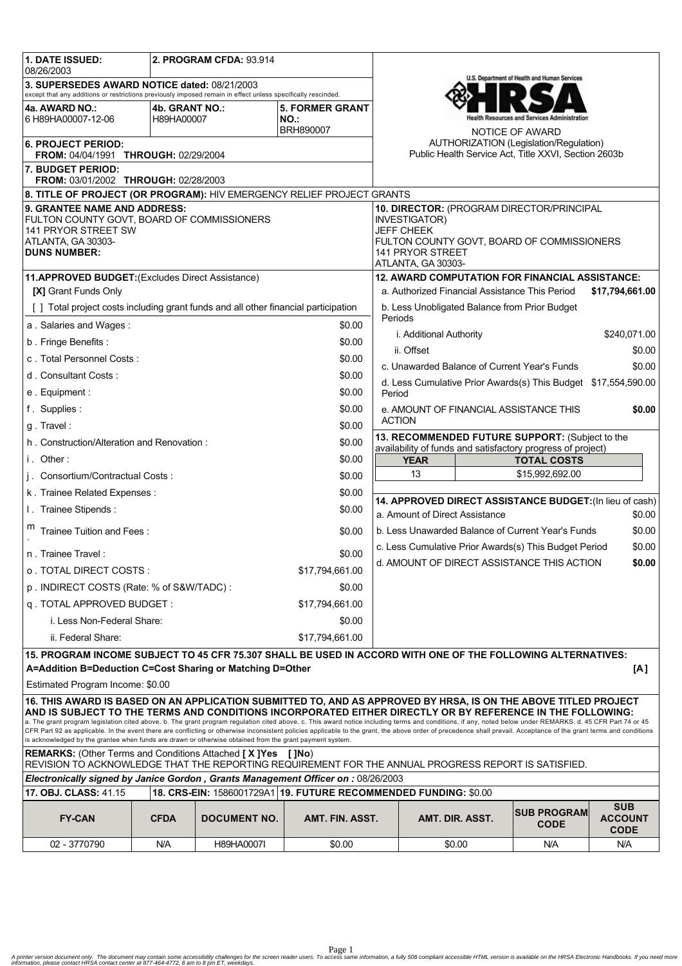| 1. DATE ISSUED:<br>2. PROGRAM CFDA: 93.914<br>08/26/2003                                                                                                                                                                                                                                                                                                                                                                                                                                                                                                                                                                                                                                                                                                                      |                              |                     |                                                    |                                                                                                      |                                                                                                                                                                                |                 |                                                               |                               |  |
|-------------------------------------------------------------------------------------------------------------------------------------------------------------------------------------------------------------------------------------------------------------------------------------------------------------------------------------------------------------------------------------------------------------------------------------------------------------------------------------------------------------------------------------------------------------------------------------------------------------------------------------------------------------------------------------------------------------------------------------------------------------------------------|------------------------------|---------------------|----------------------------------------------------|------------------------------------------------------------------------------------------------------|--------------------------------------------------------------------------------------------------------------------------------------------------------------------------------|-----------------|---------------------------------------------------------------|-------------------------------|--|
| 3. SUPERSEDES AWARD NOTICE dated: 08/21/2003<br>except that any additions or restrictions previously imposed remain in effect unless specifically rescinded.                                                                                                                                                                                                                                                                                                                                                                                                                                                                                                                                                                                                                  |                              |                     |                                                    |                                                                                                      | U.S. Department of Health and Human Services                                                                                                                                   |                 |                                                               |                               |  |
| 4a. AWARD NO.:<br>6 H89HA00007-12-06                                                                                                                                                                                                                                                                                                                                                                                                                                                                                                                                                                                                                                                                                                                                          | 4b. GRANT NO.:<br>H89HA00007 |                     | <b>5. FORMER GRANT</b><br>NO.:<br><b>BRH890007</b> |                                                                                                      |                                                                                                                                                                                |                 | alth Resources and Services Administration<br>NOTICE OF AWARD |                               |  |
| <b>6. PROJECT PERIOD:</b><br>FROM: 04/04/1991 THROUGH: 02/29/2004                                                                                                                                                                                                                                                                                                                                                                                                                                                                                                                                                                                                                                                                                                             |                              |                     |                                                    | AUTHORIZATION (Legislation/Regulation)<br>Public Health Service Act, Title XXVI, Section 2603b       |                                                                                                                                                                                |                 |                                                               |                               |  |
| 7. BUDGET PERIOD:<br>FROM: 03/01/2002 THROUGH: 02/28/2003                                                                                                                                                                                                                                                                                                                                                                                                                                                                                                                                                                                                                                                                                                                     |                              |                     |                                                    |                                                                                                      |                                                                                                                                                                                |                 |                                                               |                               |  |
| 8. TITLE OF PROJECT (OR PROGRAM): HIV EMERGENCY RELIEF PROJECT GRANTS                                                                                                                                                                                                                                                                                                                                                                                                                                                                                                                                                                                                                                                                                                         |                              |                     |                                                    |                                                                                                      |                                                                                                                                                                                |                 |                                                               |                               |  |
| 9. GRANTEE NAME AND ADDRESS:<br>FULTON COUNTY GOVT, BOARD OF COMMISSIONERS<br>141 PRYOR STREET SW<br>ATLANTA, GA 30303-<br><b>DUNS NUMBER:</b>                                                                                                                                                                                                                                                                                                                                                                                                                                                                                                                                                                                                                                |                              |                     |                                                    |                                                                                                      | 10. DIRECTOR: (PROGRAM DIRECTOR/PRINCIPAL<br><b>INVESTIGATOR)</b><br><b>JEFF CHEEK</b><br>FULTON COUNTY GOVT, BOARD OF COMMISSIONERS<br>141 PRYOR STREET<br>ATLANTA, GA 30303- |                 |                                                               |                               |  |
| 11.APPROVED BUDGET: (Excludes Direct Assistance)                                                                                                                                                                                                                                                                                                                                                                                                                                                                                                                                                                                                                                                                                                                              |                              |                     |                                                    |                                                                                                      | <b>12. AWARD COMPUTATION FOR FINANCIAL ASSISTANCE:</b>                                                                                                                         |                 |                                                               |                               |  |
| [X] Grant Funds Only                                                                                                                                                                                                                                                                                                                                                                                                                                                                                                                                                                                                                                                                                                                                                          |                              |                     |                                                    |                                                                                                      | a. Authorized Financial Assistance This Period<br>\$17.794.661.00                                                                                                              |                 |                                                               |                               |  |
| [ ] Total project costs including grant funds and all other financial participation                                                                                                                                                                                                                                                                                                                                                                                                                                                                                                                                                                                                                                                                                           |                              |                     |                                                    |                                                                                                      | b. Less Unobligated Balance from Prior Budget<br>Periods                                                                                                                       |                 |                                                               |                               |  |
| a Salaries and Wages:<br>\$0.00                                                                                                                                                                                                                                                                                                                                                                                                                                                                                                                                                                                                                                                                                                                                               |                              |                     |                                                    |                                                                                                      | i. Additional Authority<br>\$240,071.00                                                                                                                                        |                 |                                                               |                               |  |
| b. Fringe Benefits:                                                                                                                                                                                                                                                                                                                                                                                                                                                                                                                                                                                                                                                                                                                                                           |                              |                     | \$0.00                                             | ii. Offset                                                                                           |                                                                                                                                                                                |                 |                                                               | \$0.00                        |  |
| c. Total Personnel Costs:                                                                                                                                                                                                                                                                                                                                                                                                                                                                                                                                                                                                                                                                                                                                                     |                              |                     | \$0.00                                             | c. Unawarded Balance of Current Year's Funds                                                         |                                                                                                                                                                                |                 | \$0.00                                                        |                               |  |
| d. Consultant Costs:                                                                                                                                                                                                                                                                                                                                                                                                                                                                                                                                                                                                                                                                                                                                                          |                              |                     | \$0.00                                             | d. Less Cumulative Prior Awards(s) This Budget \$17,554,590.00                                       |                                                                                                                                                                                |                 |                                                               |                               |  |
| e. Equipment:                                                                                                                                                                                                                                                                                                                                                                                                                                                                                                                                                                                                                                                                                                                                                                 |                              |                     | \$0.00                                             | Period                                                                                               |                                                                                                                                                                                |                 |                                                               |                               |  |
| f. Supplies:                                                                                                                                                                                                                                                                                                                                                                                                                                                                                                                                                                                                                                                                                                                                                                  |                              |                     | \$0.00                                             | e. AMOUNT OF FINANCIAL ASSISTANCE THIS                                                               |                                                                                                                                                                                |                 |                                                               | \$0.00                        |  |
| g. Travel:                                                                                                                                                                                                                                                                                                                                                                                                                                                                                                                                                                                                                                                                                                                                                                    |                              |                     | \$0.00                                             | <b>ACTION</b>                                                                                        |                                                                                                                                                                                |                 |                                                               |                               |  |
| \$0.00<br>h. Construction/Alteration and Renovation:                                                                                                                                                                                                                                                                                                                                                                                                                                                                                                                                                                                                                                                                                                                          |                              |                     |                                                    |                                                                                                      | 13. RECOMMENDED FUTURE SUPPORT: (Subject to the<br>availability of funds and satisfactory progress of project)                                                                 |                 |                                                               |                               |  |
| i. Other:                                                                                                                                                                                                                                                                                                                                                                                                                                                                                                                                                                                                                                                                                                                                                                     |                              |                     | \$0.00                                             | <b>TOTAL COSTS</b><br><b>YEAR</b>                                                                    |                                                                                                                                                                                |                 |                                                               |                               |  |
| j. Consortium/Contractual Costs:                                                                                                                                                                                                                                                                                                                                                                                                                                                                                                                                                                                                                                                                                                                                              |                              |                     | \$0.00                                             | 13<br>\$15,992,692.00                                                                                |                                                                                                                                                                                |                 |                                                               |                               |  |
| \$0.00<br>k. Trainee Related Expenses:                                                                                                                                                                                                                                                                                                                                                                                                                                                                                                                                                                                                                                                                                                                                        |                              |                     |                                                    |                                                                                                      |                                                                                                                                                                                |                 |                                                               |                               |  |
| I. Trainee Stipends:<br>\$0.00                                                                                                                                                                                                                                                                                                                                                                                                                                                                                                                                                                                                                                                                                                                                                |                              |                     |                                                    | 14. APPROVED DIRECT ASSISTANCE BUDGET: (In lieu of cash)<br>a. Amount of Direct Assistance<br>\$0.00 |                                                                                                                                                                                |                 |                                                               |                               |  |
| Trainee Tuition and Fees:                                                                                                                                                                                                                                                                                                                                                                                                                                                                                                                                                                                                                                                                                                                                                     |                              |                     | \$0.00                                             | b. Less Unawarded Balance of Current Year's Funds<br>\$0.00                                          |                                                                                                                                                                                |                 |                                                               |                               |  |
| n. Trainee Travel:                                                                                                                                                                                                                                                                                                                                                                                                                                                                                                                                                                                                                                                                                                                                                            |                              |                     |                                                    | c. Less Cumulative Prior Awards(s) This Budget Period<br>\$0.00                                      |                                                                                                                                                                                |                 |                                                               |                               |  |
| o TOTAL DIRECT COSTS :<br>\$17,794,661.00                                                                                                                                                                                                                                                                                                                                                                                                                                                                                                                                                                                                                                                                                                                                     |                              |                     |                                                    |                                                                                                      | d. AMOUNT OF DIRECT ASSISTANCE THIS ACTION<br>\$0.00                                                                                                                           |                 |                                                               |                               |  |
| p. INDIRECT COSTS (Rate: % of S&W/TADC):<br>\$0.00                                                                                                                                                                                                                                                                                                                                                                                                                                                                                                                                                                                                                                                                                                                            |                              |                     |                                                    |                                                                                                      |                                                                                                                                                                                |                 |                                                               |                               |  |
| q. TOTAL APPROVED BUDGET:                                                                                                                                                                                                                                                                                                                                                                                                                                                                                                                                                                                                                                                                                                                                                     |                              |                     | \$17,794,661.00                                    |                                                                                                      |                                                                                                                                                                                |                 |                                                               |                               |  |
| i. Less Non-Federal Share:                                                                                                                                                                                                                                                                                                                                                                                                                                                                                                                                                                                                                                                                                                                                                    |                              |                     | \$0.00                                             |                                                                                                      |                                                                                                                                                                                |                 |                                                               |                               |  |
| ii. Federal Share:<br>\$17,794,661.00                                                                                                                                                                                                                                                                                                                                                                                                                                                                                                                                                                                                                                                                                                                                         |                              |                     |                                                    |                                                                                                      |                                                                                                                                                                                |                 |                                                               |                               |  |
| 15. PROGRAM INCOME SUBJECT TO 45 CFR 75.307 SHALL BE USED IN ACCORD WITH ONE OF THE FOLLOWING ALTERNATIVES:                                                                                                                                                                                                                                                                                                                                                                                                                                                                                                                                                                                                                                                                   |                              |                     |                                                    |                                                                                                      |                                                                                                                                                                                |                 |                                                               |                               |  |
| A=Addition B=Deduction C=Cost Sharing or Matching D=Other<br>[A]                                                                                                                                                                                                                                                                                                                                                                                                                                                                                                                                                                                                                                                                                                              |                              |                     |                                                    |                                                                                                      |                                                                                                                                                                                |                 |                                                               |                               |  |
| Estimated Program Income: \$0.00                                                                                                                                                                                                                                                                                                                                                                                                                                                                                                                                                                                                                                                                                                                                              |                              |                     |                                                    |                                                                                                      |                                                                                                                                                                                |                 |                                                               |                               |  |
| 16. THIS AWARD IS BASED ON AN APPLICATION SUBMITTED TO, AND AS APPROVED BY HRSA, IS ON THE ABOVE TITLED PROJECT<br>AND IS SUBJECT TO THE TERMS AND CONDITIONS INCORPORATED EITHER DIRECTLY OR BY REFERENCE IN THE FOLLOWING:<br>a. The grant program legislation cited above. b. The grant program regulation cited above. c. This award notice including terms and conditions, if any, noted below under REMARKS. d. 45 CFR Part 74 or 45<br>CFR Part 92 as applicable. In the event there are conflicting or otherwise inconsistent policies applicable to the grant, the above order of precedence shall prevail. Acceptance of the grant terms and conditions<br>is acknowledged by the grantee when funds are drawn or otherwise obtained from the grant payment system. |                              |                     |                                                    |                                                                                                      |                                                                                                                                                                                |                 |                                                               |                               |  |
| <b>REMARKS:</b> (Other Terms and Conditions Attached [X]Yes [JNo)<br>REVISION TO ACKNOWLEDGE THAT THE REPORTING REQUIREMENT FOR THE ANNUAL PROGRESS REPORT IS SATISFIED.                                                                                                                                                                                                                                                                                                                                                                                                                                                                                                                                                                                                      |                              |                     |                                                    |                                                                                                      |                                                                                                                                                                                |                 |                                                               |                               |  |
| Electronically signed by Janice Gordon, Grants Management Officer on: 08/26/2003<br>18. CRS-EIN: 1586001729A1 19. FUTURE RECOMMENDED FUNDING: \$0.00                                                                                                                                                                                                                                                                                                                                                                                                                                                                                                                                                                                                                          |                              |                     |                                                    |                                                                                                      |                                                                                                                                                                                |                 |                                                               |                               |  |
| 17. OBJ. CLASS: 41.15                                                                                                                                                                                                                                                                                                                                                                                                                                                                                                                                                                                                                                                                                                                                                         |                              |                     |                                                    |                                                                                                      |                                                                                                                                                                                |                 |                                                               | <b>SUB</b>                    |  |
| <b>FY-CAN</b>                                                                                                                                                                                                                                                                                                                                                                                                                                                                                                                                                                                                                                                                                                                                                                 | <b>CFDA</b>                  | <b>DOCUMENT NO.</b> | AMT. FIN. ASST.                                    |                                                                                                      |                                                                                                                                                                                | AMT. DIR. ASST. | <b>SUB PROGRAM</b><br><b>CODE</b>                             | <b>ACCOUNT</b><br><b>CODE</b> |  |
| 02 - 3770790                                                                                                                                                                                                                                                                                                                                                                                                                                                                                                                                                                                                                                                                                                                                                                  | N/A                          | H89HA0007I          | \$0.00                                             |                                                                                                      |                                                                                                                                                                                | \$0.00          | N/A                                                           | N/A                           |  |